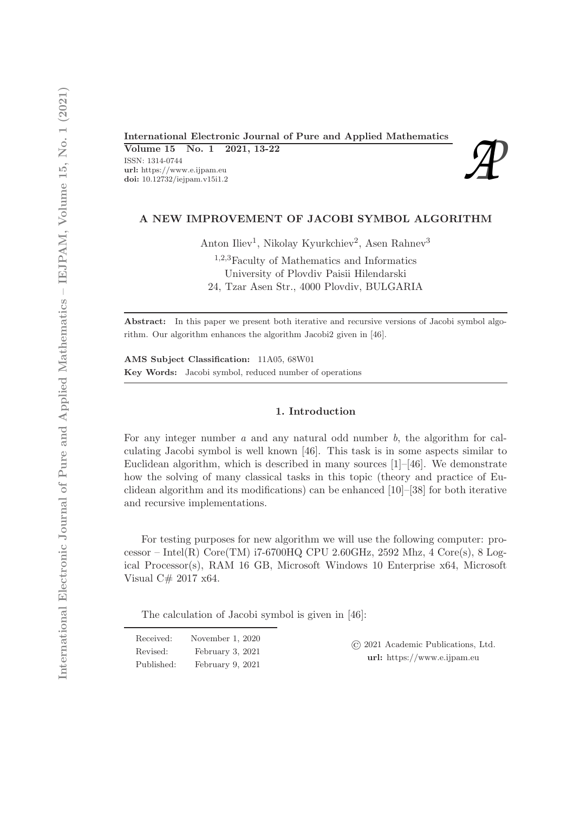International Electronic Journal of Pure and Applied Mathematics<br>
Volume 15 No. 1 2021, 13-22<br>
ISSN: 1314-0744<br>
url: https://www.e.ijpam.eu<br>
doi: 10.12732/iejpam.v15i1.2 Volume 15 No. 1 2021, 13-22 ISSN: 1314-0744 url: https://www.e.ijpam.eu<br>doi: 10.12732/iejpam.v15i1.2



## A NEW IMPROVEMENT OF JACOBI SYMBOL ALGORITHM

Anton Iliev<sup>1</sup>, Nikolay Kyurkchiev<sup>2</sup>, Asen Rahnev<sup>3</sup>

<sup>1</sup>,2,3Faculty of Mathematics and Informatics University of Plovdiv Paisii Hilendarski 24, Tzar Asen Str., 4000 Plovdiv, BULGARIA

Abstract: In this paper we present both iterative and recursive versions of Jacobi symbol algorithm. Our algorithm enhances the algorithm Jacobi2 given in [46].

AMS Subject Classification: 11A05, 68W01 Key Words: Jacobi symbol, reduced number of operations

### 1. Introduction

For any integer number *a* and any natural odd number *b*, the algorithm for calculating Jacobi symbol is well known [46]. This task is in some aspects similar to Euclidean algorithm, which is described in many sources  $[1]-[46]$ . We demonstrate how the solving of many classical tasks in this topic (theory and practice of Euclidean algorithm and its modifications) can be enhanced [10]–[38] for both iterative and recursive implementations.

For testing purposes for new algorithm we will use the following computer: processor – Intel $(R)$  Core $(TM)$  i7-6700HQ CPU 2.60GHz, 2592 Mhz, 4 Core $(s)$ , 8 Logical Processor(s), RAM 16 GB, Microsoft Windows 10 Enterprise x64, Microsoft Visual C# 2017 x64.

The calculation of Jacobi symbol is given in [46]:

| Received:  | November 1, 2020 | (c) 2021 Academic Publications, Ltd. |
|------------|------------------|--------------------------------------|
| Revised:   | February 3, 2021 | $url:$ https://www.e.ijpam.eu        |
| Published: | February 9, 2021 |                                      |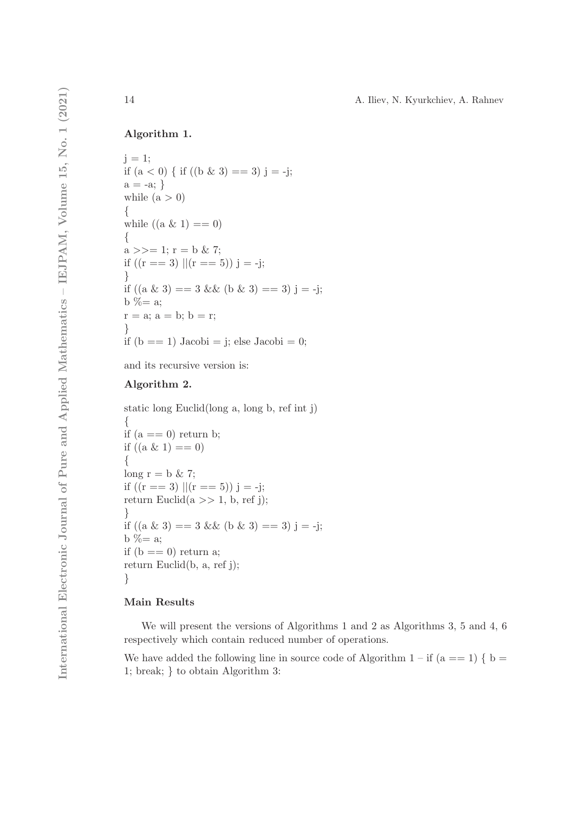## Algorithm 1.

```
i = 1;
if (a < 0) \{ \text{if } ((b \& 3) == 3) \} = -j;a = -a; \}while (a > 0)\{while ((a \& 1) == 0){
a \gg = 1; r = b \& 7;
if ((r == 3) || (r == 5)) j = -j;}
if ((a \& 3) == 3 \& 0 \& 3) == 3) j = -j;b % = a;
r = a; a = b; b = r;}
if (b == 1) Jacobi = j; else Jacobi = 0;
```
and its recursive version is:

## Algorithm 2.

static long Euclid(long a, long b, ref int j) { if  $(a == 0)$  return b; if  $((a \& 1) == 0)$ { long  $r = b \& 7$ ; if  $((r == 3) || (r == 5))$  j = -j; return Euclid $(a \gg 1, b, ref j);$ } if  $((a \& 3) == 3 \& 0 \& 3) == 3) j = -j;$ b  $% = a$ ; if  $(b == 0)$  return a; return Euclid(b, a, ref j); }

## Main Results

We will present the versions of Algorithms 1 and 2 as Algorithms 3, 5 and 4, 6 respectively which contain reduced number of operations.

We have added the following line in source code of Algorithm  $1 - if (a == 1) \{ b =$ 1; break; } to obtain Algorithm 3: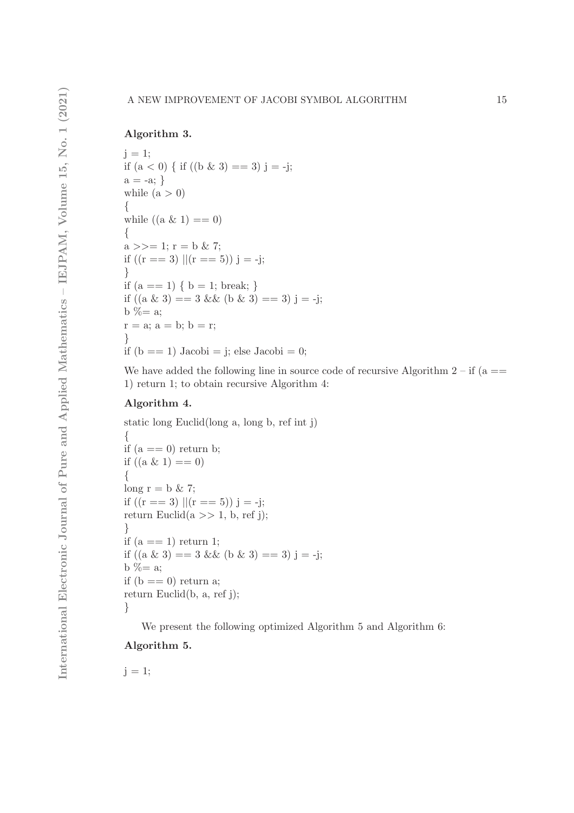## Algorithm 3.

```
j = 1;if (a < 0) { if ((b \& 3) == 3) j = -j;
a = -a; \}while (a > 0){
while ((a \& 1) == 0)\{a \gg = 1; r = b \& 7;
if ((r == 3) || (r == 5)) j = -j;}
if (a == 1) \{ b = 1; break; \}if ((a \& 3) == 3 \& 0 \& 3) == 3) j = -j;
b % = a;
r = a; a = b; b = r;
}
if (b == 1) Jacobi = j; else Jacobi = 0;
```
We have added the following line in source code of recursive Algorithm  $2 - if (a ==$ 1) return 1; to obtain recursive Algorithm 4:

### Algorithm 4.

static long Euclid(long a, long b, ref int j) { if  $(a == 0)$  return b; if  $((a \& 1) == 0)$ {  $long r = b \& 7;$ if  $((r == 3) || (r == 5))$  j = -j; return Euclid $(a \gg 1, b, ref)$ ; } if  $(a == 1)$  return 1; if  $((a \& 3) == 3 \& (b \& 3) == 3)$  j = -j; b  $% = a$ ; if  $(b == 0)$  return a; return Euclid(b, a, ref j); }

We present the following optimized Algorithm 5 and Algorithm 6:

## Algorithm 5.

 $j = 1$ ;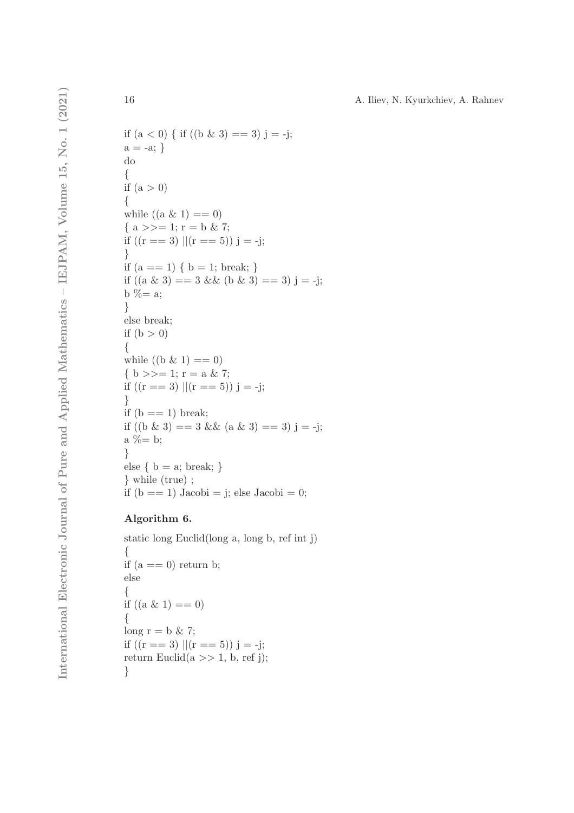```
if (a < 0) \{ \text{ if } ((b \& 3) == 3) \} = -j;a = -a; \}do
{
if (a > 0){
while ((a \& 1) == 0){ a >>= 1; r = b \& 7; }if ((r == 3) || (r == 5)) j = -j;
}
if (a == 1) \{ b = 1; break; \}if ((a \& 3) == 3 \& 6 \& 3) == 3) j = -j;
b % = a;
}
else break;
if (b > 0){
while ((b \& 1) == 0)\{ b \gg = 1; r = a \& 7;if ((r == 3) || (r == 5)) j = -j;
}
if (b == 1) break;
if ((b \& 3) == 3 \& 4 \& 3) == 3) j = -j;
a \% = b:
}
else { b = a; break; }
} while (true) ;
if (b == 1) Jacobi = j; else Jacobi = 0;
```
# Algorithm 6.

```
static long Euclid(long a, long b, ref int j)
{
if (a == 0) return b;
else
{
if ((a \& 1) == 0){
long r = b \& 7;if ((r == 3) || (r == 5)) j = -j;
return Euclid(a \gg 1, b, ref j);}
```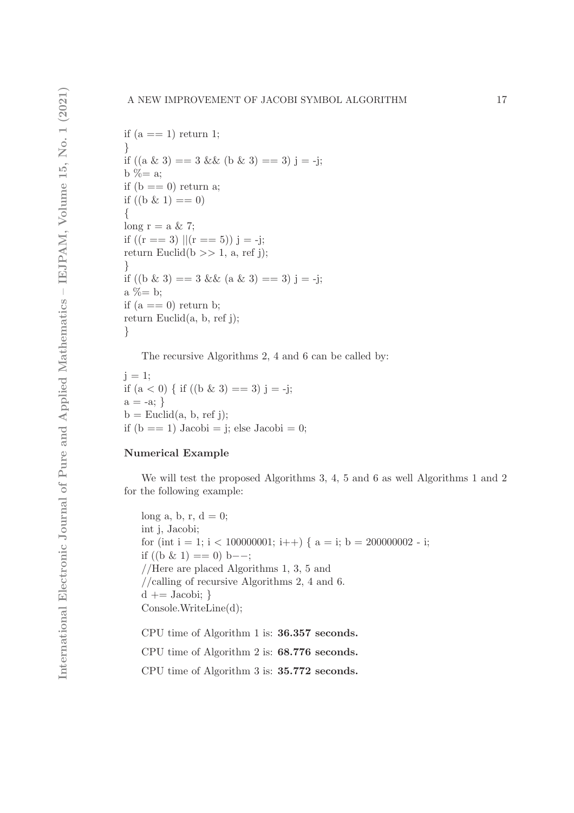```
if (a == 1) return 1;
}
if ((a \& 3) == 3 \& (b \& 3) == 3) j = -j;
b % = a;
if (b == 0) return a;
if ((b \& 1) == 0)\{long r = a \& 7;
if ((r == 3) || (r == 5)) j = -j;
return Euclid(b >> 1, a, ref j);
}
if ((b \& 3) == 3 \& 4 \& 3) == 3) j = -j;
a \% = b;
if (a == 0) return b;
return Euclid(a, b, ref j);
}
```
The recursive Algorithms 2, 4 and 6 can be called by:

 $i = 1$ ; if  $(a < 0)$  { if  $((b \& 3) == 3)$  j = -j;  $a = -a; \}$  $b =$  Euclid(a, b, ref j); if  $(b == 1)$  Jacobi = j; else Jacobi = 0;

## Numerical Example

We will test the proposed Algorithms 3, 4, 5 and 6 as well Algorithms 1 and 2 for the following example:

```
long a, b, r, d = 0;
int j, Jacobi;
for (int i = 1; i < 100000001; i++) { a = i; b = 200000002 - i;
if ((b \& 1) == 0) b--;
//Here are placed Algorithms 1, 3, 5 and
//calling of recursive Algorithms 2, 4 and 6.
d \nightharpoonup = Jacobi;Console.WriteLine(d);
CPU time of Algorithm 1 is: 36.357 seconds.
```
CPU time of Algorithm 2 is: 68.776 seconds.

CPU time of Algorithm 3 is: 35.772 seconds.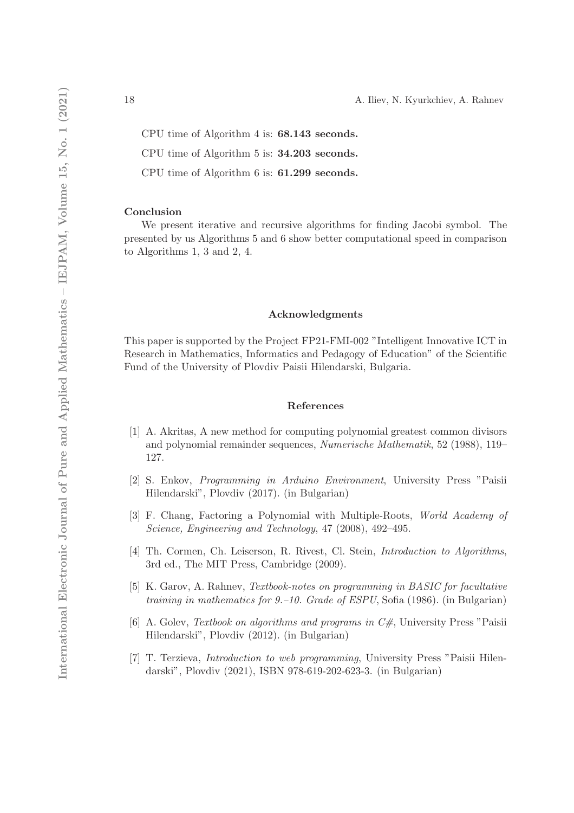CPU time of Algorithm 4 is: 68.143 seconds.

CPU time of Algorithm 5 is: 34.203 seconds.

CPU time of Algorithm 6 is: 61.299 seconds.

#### Conclusion

We present iterative and recursive algorithms for finding Jacobi symbol. The presented by us Algorithms 5 and 6 show better computational speed in comparison to Algorithms 1, 3 and 2, 4.

#### Acknowledgments

This paper is supported by the Project FP21-FMI-002 "Intelligent Innovative ICT in Research in Mathematics, Informatics and Pedagogy of Education" of the Scientific Fund of the University of Plovdiv Paisii Hilendarski, Bulgaria.

#### References

- [1] A. Akritas, A new method for computing polynomial greatest common divisors and polynomial remainder sequences, *Numerische Mathematik*, 52 (1988), 119– 127.
- [2] S. Enkov, *Programming in Arduino Environment*, University Press "Paisii Hilendarski", Plovdiv (2017). (in Bulgarian)
- [3] F. Chang, Factoring a Polynomial with Multiple-Roots, *World Academy of Science, Engineering and Technology*, 47 (2008), 492–495.
- [4] Th. Cormen, Ch. Leiserson, R. Rivest, Cl. Stein, *Introduction to Algorithms*, 3rd ed., The MIT Press, Cambridge (2009).
- [5] K. Garov, A. Rahnev, *Textbook-notes on programming in BASIC for facultative training in mathematics for 9.–10. Grade of ESPU*, Sofia (1986). (in Bulgarian)
- [6] A. Golev, *Textbook on algorithms and programs in C#*, University Press "Paisii Hilendarski", Plovdiv (2012). (in Bulgarian)
- [7] T. Terzieva, *Introduction to web programming*, University Press "Paisii Hilendarski", Plovdiv (2021), ISBN 978-619-202-623-3. (in Bulgarian)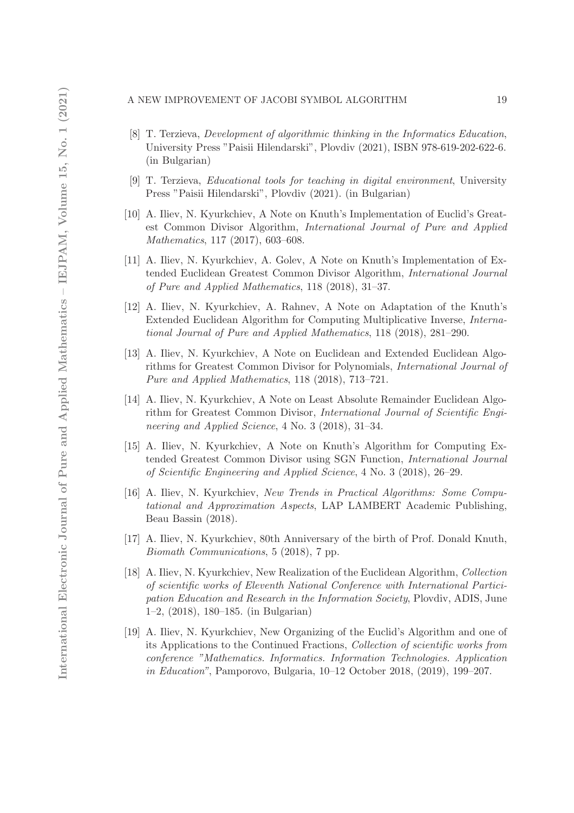#### A NEW IMPROVEMENT OF JACOBI SYMBOL ALGORITHM 19

- [8] T. Terzieva, *Development of algorithmic thinking in the Informatics Education*, University Press "Paisii Hilendarski", Plovdiv (2021), ISBN 978-619-202-622-6. (in Bulgarian)
- [9] T. Terzieva, *Educational tools for teaching in digital environment*, University Press "Paisii Hilendarski", Plovdiv (2021). (in Bulgarian)
- [10] A. Iliev, N. Kyurkchiev, A Note on Knuth's Implementation of Euclid's Greatest Common Divisor Algorithm, *International Journal of Pure and Applied Mathematics*, 117 (2017), 603–608.
- [11] A. Iliev, N. Kyurkchiev, A. Golev, A Note on Knuth's Implementation of Extended Euclidean Greatest Common Divisor Algorithm, *International Journal of Pure and Applied Mathematics*, 118 (2018), 31–37.
- [12] A. Iliev, N. Kyurkchiev, A. Rahnev, A Note on Adaptation of the Knuth's Extended Euclidean Algorithm for Computing Multiplicative Inverse, *International Journal of Pure and Applied Mathematics*, 118 (2018), 281–290.
- [13] A. Iliev, N. Kyurkchiev, A Note on Euclidean and Extended Euclidean Algorithms for Greatest Common Divisor for Polynomials, *International Journal of Pure and Applied Mathematics*, 118 (2018), 713–721.
- [14] A. Iliev, N. Kyurkchiev, A Note on Least Absolute Remainder Euclidean Algorithm for Greatest Common Divisor, *International Journal of Scientific Engineering and Applied Science*, 4 No. 3 (2018), 31–34.
- [15] A. Iliev, N. Kyurkchiev, A Note on Knuth's Algorithm for Computing Extended Greatest Common Divisor using SGN Function, *International Journal of Scientific Engineering and Applied Science*, 4 No. 3 (2018), 26–29.
- [16] A. Iliev, N. Kyurkchiev, *New Trends in Practical Algorithms: Some Computational and Approximation Aspects*, LAP LAMBERT Academic Publishing, Beau Bassin (2018).
- [17] A. Iliev, N. Kyurkchiev, 80th Anniversary of the birth of Prof. Donald Knuth, *Biomath Communications*, 5 (2018), 7 pp.
- [18] A. Iliev, N. Kyurkchiev, New Realization of the Euclidean Algorithm, *Collection of scientific works of Eleventh National Conference with International Participation Education and Research in the Information Society*, Plovdiv, ADIS, June 1–2, (2018), 180–185. (in Bulgarian)
- [19] A. Iliev, N. Kyurkchiev, New Organizing of the Euclid's Algorithm and one of its Applications to the Continued Fractions, *Collection of scientific works from conference "Mathematics. Informatics. Information Technologies. Application in Education"*, Pamporovo, Bulgaria, 10–12 October 2018, (2019), 199–207.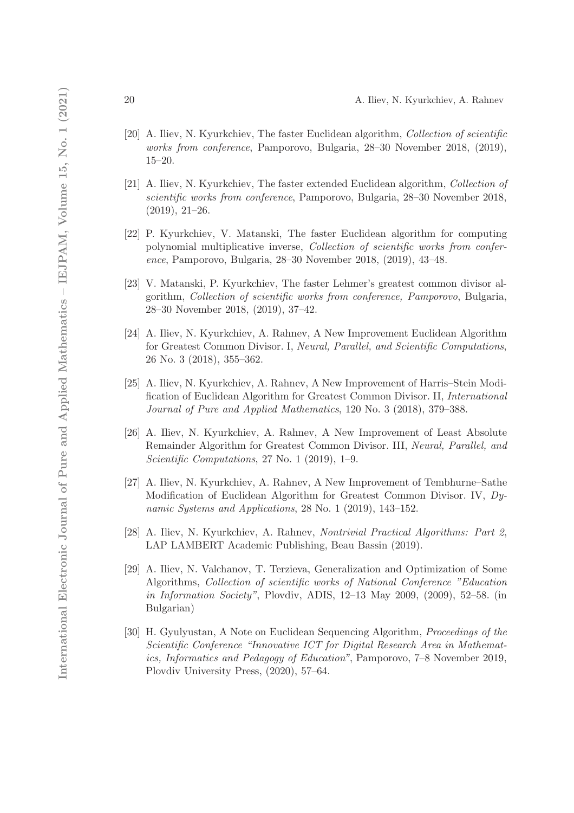- [20] A. Iliev, N. Kyurkchiev, The faster Euclidean algorithm, *Collection of scientific works from conference*, Pamporovo, Bulgaria, 28–30 November 2018, (2019), 15–20.
- [21] A. Iliev, N. Kyurkchiev, The faster extended Euclidean algorithm, *Collection of scientific works from conference*, Pamporovo, Bulgaria, 28–30 November 2018, (2019), 21–26.
- [22] P. Kyurkchiev, V. Matanski, The faster Euclidean algorithm for computing polynomial multiplicative inverse, *Collection of scientific works from conference*, Pamporovo, Bulgaria, 28–30 November 2018, (2019), 43–48.
- [23] V. Matanski, P. Kyurkchiev, The faster Lehmer's greatest common divisor algorithm, *Collection of scientific works from conference, Pamporovo*, Bulgaria, 28–30 November 2018, (2019), 37–42.
- [24] A. Iliev, N. Kyurkchiev, A. Rahnev, A New Improvement Euclidean Algorithm for Greatest Common Divisor. I, *Neural, Parallel, and Scientific Computations*, 26 No. 3 (2018), 355–362.
- [25] A. Iliev, N. Kyurkchiev, A. Rahnev, A New Improvement of Harris–Stein Modification of Euclidean Algorithm for Greatest Common Divisor. II, *International Journal of Pure and Applied Mathematics*, 120 No. 3 (2018), 379–388.
- [26] A. Iliev, N. Kyurkchiev, A. Rahnev, A New Improvement of Least Absolute Remainder Algorithm for Greatest Common Divisor. III, *Neural, Parallel, and Scientific Computations*, 27 No. 1 (2019), 1–9.
- [27] A. Iliev, N. Kyurkchiev, A. Rahnev, A New Improvement of Tembhurne–Sathe Modification of Euclidean Algorithm for Greatest Common Divisor. IV, *Dynamic Systems and Applications*, 28 No. 1 (2019), 143–152.
- [28] A. Iliev, N. Kyurkchiev, A. Rahnev, *Nontrivial Practical Algorithms: Part 2*, LAP LAMBERT Academic Publishing, Beau Bassin (2019).
- [29] A. Iliev, N. Valchanov, T. Terzieva, Generalization and Optimization of Some Algorithms, *Collection of scientific works of National Conference "Education in Information Society"*, Plovdiv, ADIS, 12–13 May 2009, (2009), 52–58. (in Bulgarian)
- [30] H. Gyulyustan, A Note on Euclidean Sequencing Algorithm, *Proceedings of the Scientific Conference "Innovative ICT for Digital Research Area in Mathematics, Informatics and Pedagogy of Education"*, Pamporovo, 7–8 November 2019, Plovdiv University Press, (2020), 57–64.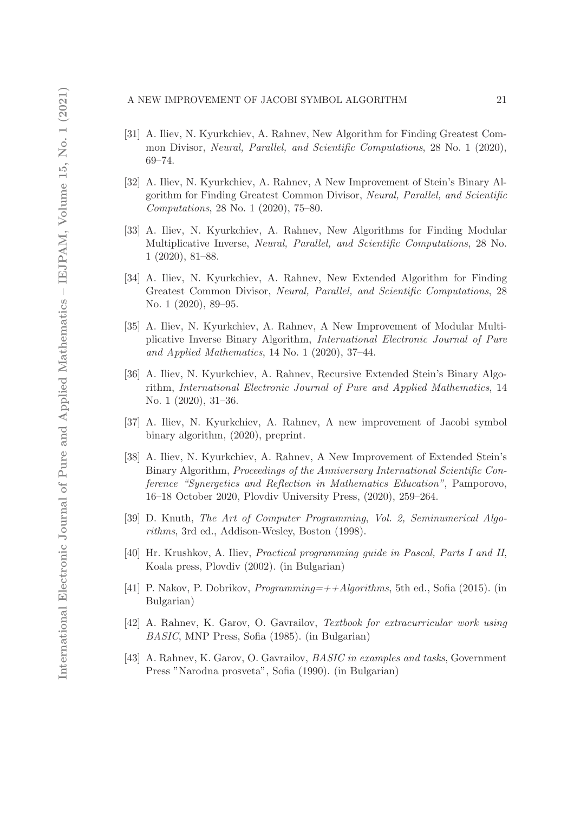#### A NEW IMPROVEMENT OF JACOBI SYMBOL ALGORITHM 21

- [31] A. Iliev, N. Kyurkchiev, A. Rahnev, New Algorithm for Finding Greatest Common Divisor, *Neural, Parallel, and Scientific Computations*, 28 No. 1 (2020), 69–74.
- [32] A. Iliev, N. Kyurkchiev, A. Rahnev, A New Improvement of Stein's Binary Algorithm for Finding Greatest Common Divisor, *Neural, Parallel, and Scientific Computations*, 28 No. 1 (2020), 75–80.
- [33] A. Iliev, N. Kyurkchiev, A. Rahnev, New Algorithms for Finding Modular Multiplicative Inverse, *Neural, Parallel, and Scientific Computations*, 28 No. 1 (2020), 81–88.
- [34] A. Iliev, N. Kyurkchiev, A. Rahnev, New Extended Algorithm for Finding Greatest Common Divisor, *Neural, Parallel, and Scientific Computations*, 28 No. 1 (2020), 89–95.
- [35] A. Iliev, N. Kyurkchiev, A. Rahnev, A New Improvement of Modular Multiplicative Inverse Binary Algorithm, *International Electronic Journal of Pure and Applied Mathematics*, 14 No. 1 (2020), 37–44.
- [36] A. Iliev, N. Kyurkchiev, A. Rahnev, Recursive Extended Stein's Binary Algorithm, *International Electronic Journal of Pure and Applied Mathematics*, 14 No. 1 (2020), 31–36.
- [37] A. Iliev, N. Kyurkchiev, A. Rahnev, A new improvement of Jacobi symbol binary algorithm, (2020), preprint.
- [38] A. Iliev, N. Kyurkchiev, A. Rahnev, A New Improvement of Extended Stein's Binary Algorithm, *Proceedings of the Anniversary International Scientific Conference "Synergetics and Reflection in Mathematics Education"*, Pamporovo, 16–18 October 2020, Plovdiv University Press, (2020), 259–264.
- [39] D. Knuth, *The Art of Computer Programming*, *Vol. 2, Seminumerical Algorithms*, 3rd ed., Addison-Wesley, Boston (1998).
- [40] Hr. Krushkov, A. Iliev, *Practical programming guide in Pascal, Parts I and II*, Koala press, Plovdiv (2002). (in Bulgarian)
- [41] P. Nakov, P. Dobrikov, *Programming=++Algorithms*, 5th ed., Sofia (2015). (in Bulgarian)
- [42] A. Rahnev, K. Garov, O. Gavrailov, *Textbook for extracurricular work using BASIC*, MNP Press, Sofia (1985). (in Bulgarian)
- [43] A. Rahnev, K. Garov, O. Gavrailov, *BASIC in examples and tasks*, Government Press "Narodna prosveta", Sofia (1990). (in Bulgarian)